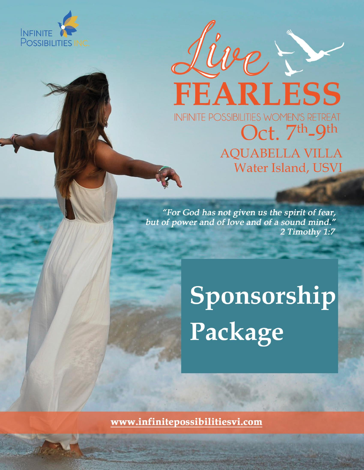

Live Prince **INFINITE POSSIBILITIES WOMEN'S RETREAT** Oct. 7th\_9th **AQUABELLA VILLA** Water Island, USVI

"For God has not given us the spirit of fear, but of power and of love and of a sound mind." 2 Timothy 1:7

> Sponsorship Package

www.infinitepossibilitiesvi.com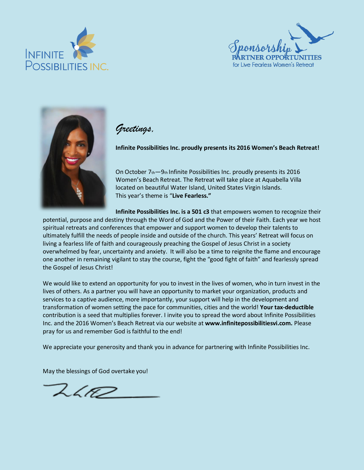





#### *Greetings,*

**Infinite Possibilities Inc. proudly presents its 2016 Women's Beach Retreat!**

On October  $7<sub>th</sub> - 9<sub>th</sub>$  Infinite Possibilities Inc. proudly presents its 2016 Women's Beach Retreat. The Retreat will take place at Aquabella Villa located on beautiful Water Island, United States Virgin Islands. This year's theme is "**Live Fearless."**

**Infinite Possibilities Inc. is a 501 c3** that empowers women to recognize their potential, purpose and destiny through the Word of God and the Power of their Faith. Each year we host spiritual retreats and conferences that empower and support women to develop their talents to ultimately fulfill the needs of people inside and outside of the church. This years' Retreat will focus on living a fearless life of faith and courageously preaching the Gospel of Jesus Christ in a society overwhelmed by fear, uncertainty and anxiety. It will also be a time to reignite the flame and encourage one another in remaining vigilant to stay the course, fight the "good fight of faith" and fearlessly spread the Gospel of Jesus Christ!

We would like to extend an opportunity for you to invest in the lives of women, who in turn invest in the lives of others. As a partner you will have an opportunity to market your organization, products and services to a captive audience, more importantly, your support will help in the development and transformation of women setting the pace for communities, cities and the world! **Your tax-deductible**  contribution is a seed that multiplies forever. I invite you to spread the word about Infinite Possibilities Inc. and the 2016 Women's Beach Retreat via our website at **www.infinitepossibilitiesvi.com.** Please pray for us and remember God is faithful to the end!

We appreciate your generosity and thank you in advance for partnering with Infinite Possibilities Inc.

May the blessings of God overtake you!

 $2402$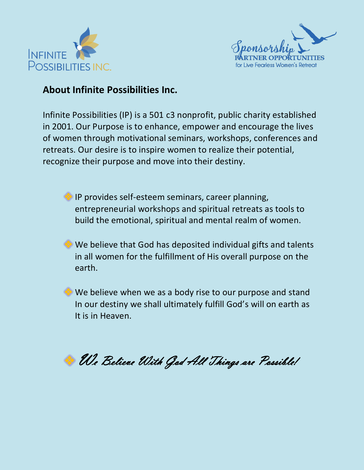



#### **About Infinite Possibilities Inc.**

Infinite Possibilities (IP) is a 501 c3 nonprofit, public charity established in 2001. Our Purpose is to enhance, empower and encourage the lives of women through motivational seminars, workshops, conferences and retreats. Our desire is to inspire women to realize their potential, recognize their purpose and move into their destiny.

**IP provides self-esteem seminars, career planning,** entrepreneurial workshops and spiritual retreats as tools to build the emotional, spiritual and mental realm of women.

We believe that God has deposited individual gifts and talents in all women for the fulfillment of His overall purpose on the earth.

**♦ We believe when we as a body rise to our purpose and stand**  In our destiny we shall ultimately fulfill God's will on earth as It is in Heaven.

**We Believe With God All Things are Possible!**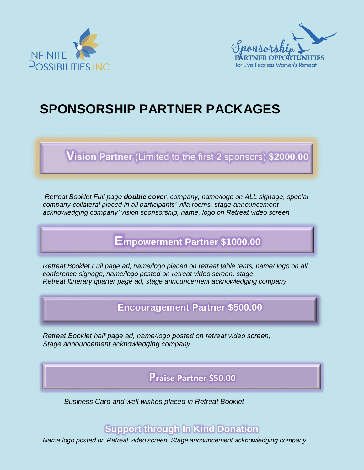



# **SPONSORSHIP PARTNER PACKAGES**

Vision Partner (Limited to the first 2 sponsors) \$2000.00

*Retreat Booklet Full page double cover, company, name/logo on ALL signage, special company collateral placed in all participants' villa rooms, stage announcement acknowledging company' vision sponsorship, name, logo on Retreat video screen* 

### **Empowerment Partner \$1000.00**

*Retreat Booklet Full page ad, name/logo placed on retreat table tents, name/ logo on all conference signage, name/logo posted on retreat video screen, stage Retreat Itinerary quarter page ad, stage announcement acknowledging company* 

**Encouragement Partner \$500.00**

*Retreat Booklet half page ad, name/logo posted on retreat video screen, Stage announcement acknowledging company*

**Praise Partner \$50.00**

*Business Card and well wishes placed in Retreat Booklet* 

### **Support through In Kind Donation**

*Name logo posted on Retreat video screen, Stage announcement acknowledging company*